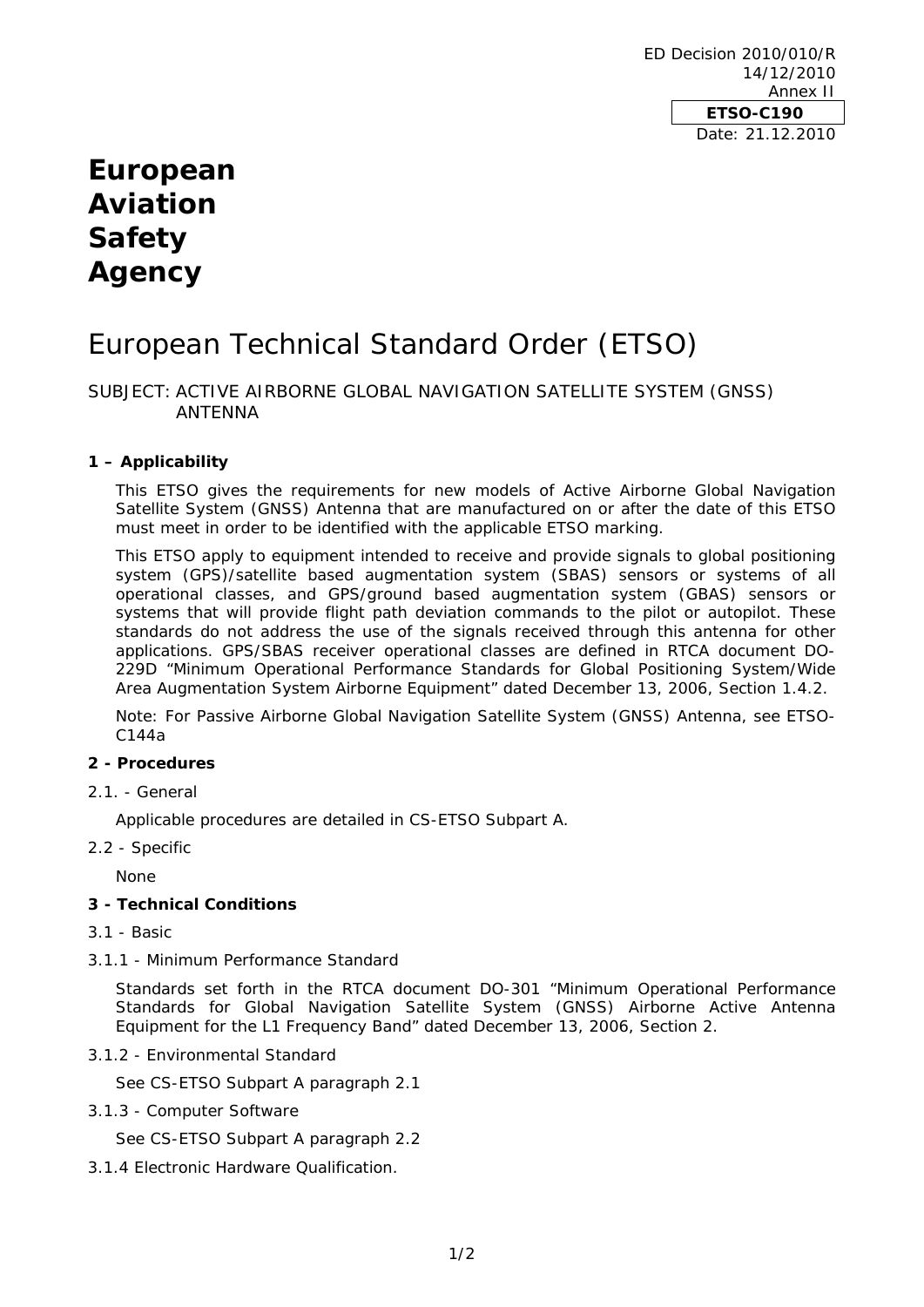ED Decision 2010/010/R 14/12/2010 Annex II **ETSO-C190**  Date: 21.12.2010

## **European Aviation Safety Agency**

# European Technical Standard Order (ETSO)

## SUBJECT: ACTIVE AIRBORNE GLOBAL NAVIGATION SATELLITE SYSTEM (GNSS) ANTENNA

## **1 – Applicability**

This ETSO gives the requirements for new models of Active Airborne Global Navigation Satellite System (GNSS) Antenna that are manufactured on or after the date of this ETSO must meet in order to be identified with the applicable ETSO marking.

This ETSO apply to equipment intended to receive and provide signals to global positioning system (GPS)/satellite based augmentation system (SBAS) sensors or systems of all operational classes, and GPS/ground based augmentation system (GBAS) sensors or systems that will provide flight path deviation commands to the pilot or autopilot. These standards do not address the use of the signals received through this antenna for other applications. GPS/SBAS receiver operational classes are defined in RTCA document DO-229D "Minimum Operational Performance Standards for Global Positioning System/Wide Area Augmentation System Airborne Equipment" dated December 13, 2006, Section 1.4.2.

Note: For Passive Airborne Global Navigation Satellite System (GNSS) Antenna, see ETSO-C144a

#### **2 - Procedures**

2.1. - General

Applicable procedures are detailed in CS-ETSO Subpart A.

2.2 - Specific

None

#### **3 - Technical Conditions**

- 3.1 Basic
- 3.1.1 Minimum Performance Standard

Standards set forth in the RTCA document DO-301 "Minimum Operational Performance Standards for Global Navigation Satellite System (GNSS) Airborne Active Antenna Equipment for the L1 Frequency Band" dated December 13, 2006, Section 2.

3.1.2 - Environmental Standard

See CS-ETSO Subpart A paragraph 2.1

3.1.3 - Computer Software

See CS-ETSO Subpart A paragraph 2.2

3.1.4 Electronic Hardware Qualification.